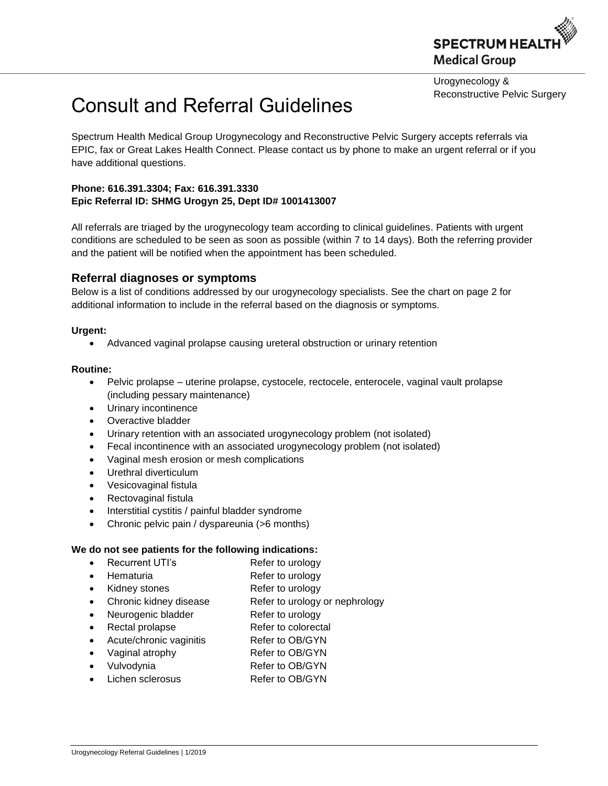

Urogynecology & Reconstructive Pelvic Surgery

# Consult and Referral Guidelines

Spectrum Health Medical Group Urogynecology and Reconstructive Pelvic Surgery accepts referrals via EPIC, fax or Great Lakes Health Connect. Please contact us by phone to make an urgent referral or if you have additional questions.

### **Phone: [616.391.3304;](tel:616.391.3304) Fax: 616.391.3330 Epic Referral ID: SHMG Urogyn 25, Dept ID# 1001413007**

All referrals are triaged by the urogynecology team according to clinical guidelines. Patients with urgent conditions are scheduled to be seen as soon as possible (within 7 to 14 days). Both the referring provider and the patient will be notified when the appointment has been scheduled.

## **Referral diagnoses or symptoms**

Below is a list of conditions addressed by our urogynecology specialists. See the chart on page 2 for additional information to include in the referral based on the diagnosis or symptoms.

#### **Urgent:**

Advanced vaginal prolapse causing ureteral obstruction or urinary retention

#### **Routine:**

- Pelvic prolapse uterine prolapse, cystocele, rectocele, enterocele, vaginal vault prolapse (including pessary maintenance)
- Urinary incontinence
- Overactive bladder
- Urinary retention with an associated urogynecology problem (not isolated)
- Fecal incontinence with an associated urogynecology problem (not isolated)
- Vaginal mesh erosion or mesh complications
- Urethral diverticulum
- Vesicovaginal fistula
- Rectovaginal fistula
- Interstitial cystitis / painful bladder syndrome
- Chronic pelvic pain / dyspareunia (>6 months)

#### **We do not see patients for the following indications:**

- Recurrent UTI's Refer to urology
	-
- Hematuria Refer to urology
- Kidney stones Refer to urology
- Chronic kidney disease Refer to urology or nephrology
- Neurogenic bladder Refer to urology
- Rectal prolapse Refer to colorectal
- Acute/chronic vaginitis Refer to OB/GYN
- Vaginal atrophy Refer to OB/GYN
- Vulvodynia Refer to OB/GYN
- Lichen sclerosus Refer to OB/GYN